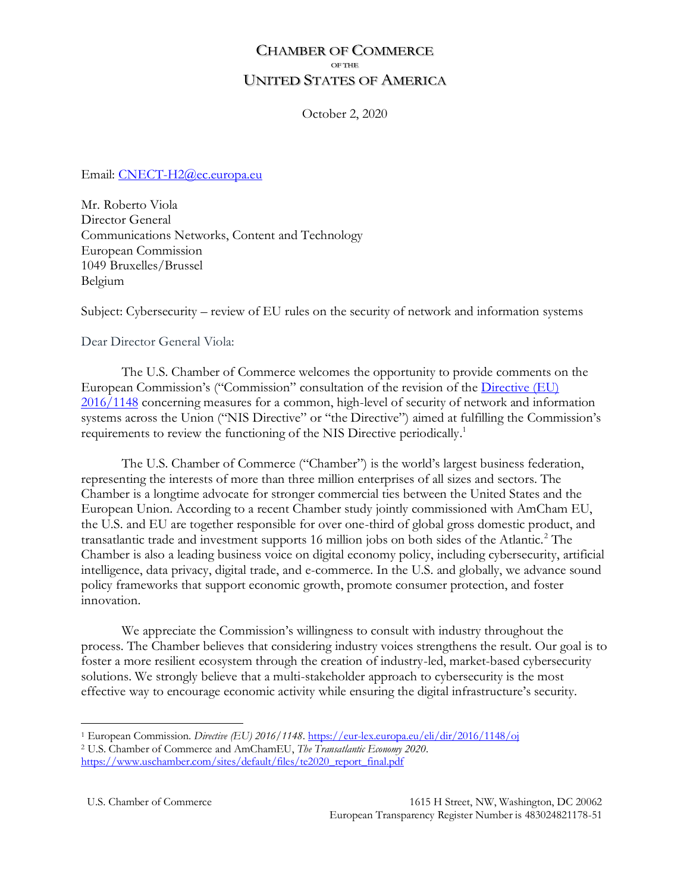# **CHAMBER OF COMMERCE OF THE UNITED STATES OF AMERICA**

October 2, 2020

Email: [CNECT-H2@ec.europa.eu](mailto:CNECT-H2@ec.europa.eu)

Mr. Roberto Viola Director General Communications Networks, Content and Technology European Commission 1049 Bruxelles/Brussel Belgium

Subject: Cybersecurity – review of EU rules on the security of network and information systems

Dear Director General Viola:

The U.S. Chamber of Commerce welcomes the opportunity to provide comments on the European Commission's ("Commission" consultation of the revision of the [Directive \(EU\)](https://eur-lex.europa.eu/eli/dir/2016/1148/oj)  [2016/1148](https://eur-lex.europa.eu/eli/dir/2016/1148/oj) concerning measures for a common, high-level of security of network and information systems across the Union ("NIS Directive" or "the Directive") aimed at fulfilling the Commission's requirements to review the functioning of the NIS Directive periodically. 1

The U.S. Chamber of Commerce ("Chamber") is the world's largest business federation, representing the interests of more than three million enterprises of all sizes and sectors. The Chamber is a longtime advocate for stronger commercial ties between the United States and the European Union. According to a recent Chamber study jointly commissioned with AmCham EU, the U.S. and EU are together responsible for over one-third of global gross domestic product, and transatlantic trade and investment supports 16 million jobs on both sides of the Atlantic.<sup>2</sup> The Chamber is also a leading business voice on digital economy policy, including cybersecurity, artificial intelligence, data privacy, digital trade, and e-commerce. In the U.S. and globally, we advance sound policy frameworks that support economic growth, promote consumer protection, and foster innovation.

We appreciate the Commission's willingness to consult with industry throughout the process. The Chamber believes that considering industry voices strengthens the result. Our goal is to foster a more resilient ecosystem through the creation of industry-led, market-based cybersecurity solutions. We strongly believe that a multi-stakeholder approach to cybersecurity is the most effective way to encourage economic activity while ensuring the digital infrastructure's security.

<sup>1</sup> European Commission. *Directive (EU) 2016/1148*.<https://eur-lex.europa.eu/eli/dir/2016/1148/oj>

<sup>2</sup> U.S. Chamber of Commerce and AmChamEU, *The Transatlantic Economy 2020*. [https://www.uschamber.com/sites/default/files/te2020\\_report\\_final.pdf](https://www.uschamber.com/sites/default/files/te2020_report_final.pdf)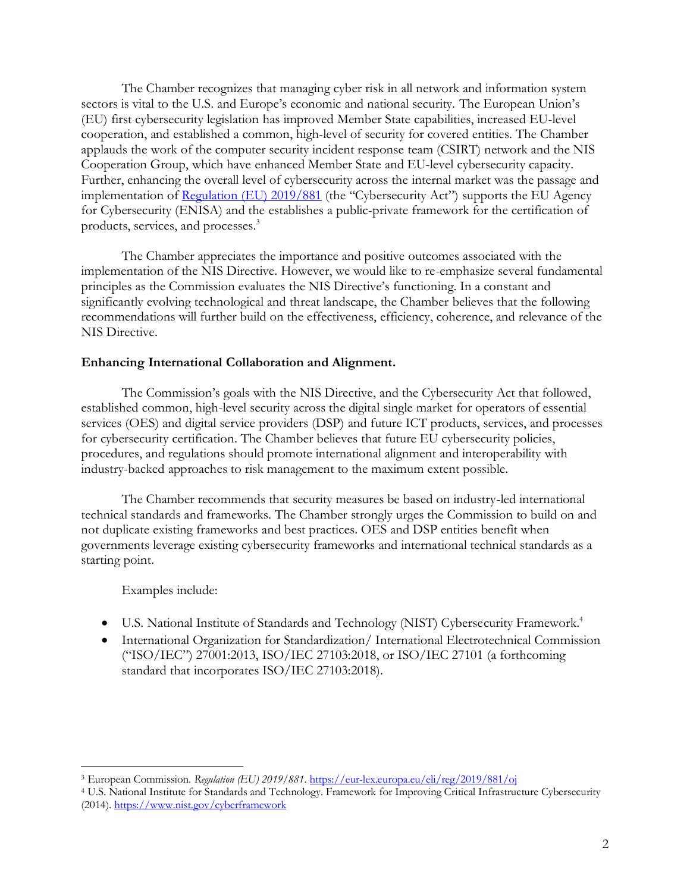The Chamber recognizes that managing cyber risk in all network and information system sectors is vital to the U.S. and Europe's economic and national security. The European Union's (EU) first cybersecurity legislation has improved Member State capabilities, increased EU-level cooperation, and established a common, high-level of security for covered entities. The Chamber applauds the work of the computer security incident response team (CSIRT) network and the NIS Cooperation Group, which have enhanced Member State and EU-level cybersecurity capacity. Further, enhancing the overall level of cybersecurity across the internal market was the passage and implementation of [Regulation \(EU\) 2019/881](https://eur-lex.europa.eu/eli/reg/2019/881/oj) (the "Cybersecurity Act") supports the EU Agency for Cybersecurity (ENISA) and the establishes a public-private framework for the certification of products, services, and processes.<sup>3</sup>

The Chamber appreciates the importance and positive outcomes associated with the implementation of the NIS Directive. However, we would like to re-emphasize several fundamental principles as the Commission evaluates the NIS Directive's functioning. In a constant and significantly evolving technological and threat landscape, the Chamber believes that the following recommendations will further build on the effectiveness, efficiency, coherence, and relevance of the NIS Directive.

#### **Enhancing International Collaboration and Alignment.**

The Commission's goals with the NIS Directive, and the Cybersecurity Act that followed, established common, high-level security across the digital single market for operators of essential services (OES) and digital service providers (DSP) and future ICT products, services, and processes for cybersecurity certification. The Chamber believes that future EU cybersecurity policies, procedures, and regulations should promote international alignment and interoperability with industry-backed approaches to risk management to the maximum extent possible.

The Chamber recommends that security measures be based on industry-led international technical standards and frameworks. The Chamber strongly urges the Commission to build on and not duplicate existing frameworks and best practices. OES and DSP entities benefit when governments leverage existing cybersecurity frameworks and international technical standards as a starting point.

#### Examples include:

- U.S. National Institute of Standards and Technology (NIST) Cybersecurity Framework.<sup>4</sup>
- International Organization for Standardization/ International Electrotechnical Commission ("ISO/IEC") 27001:2013, ISO/IEC 27103:2018, or ISO/IEC 27101 (a forthcoming standard that incorporates ISO/IEC 27103:2018).

<sup>3</sup> European Commission. *Regulation (EU) 2019/881*[. https://eur-lex.europa.eu/eli/reg/2019/881/oj](https://eur-lex.europa.eu/eli/reg/2019/881/oj)

<sup>4</sup> U.S. National Institute for Standards and Technology. Framework for Improving Critical Infrastructure Cybersecurity (2014).<https://www.nist.gov/cyberframework>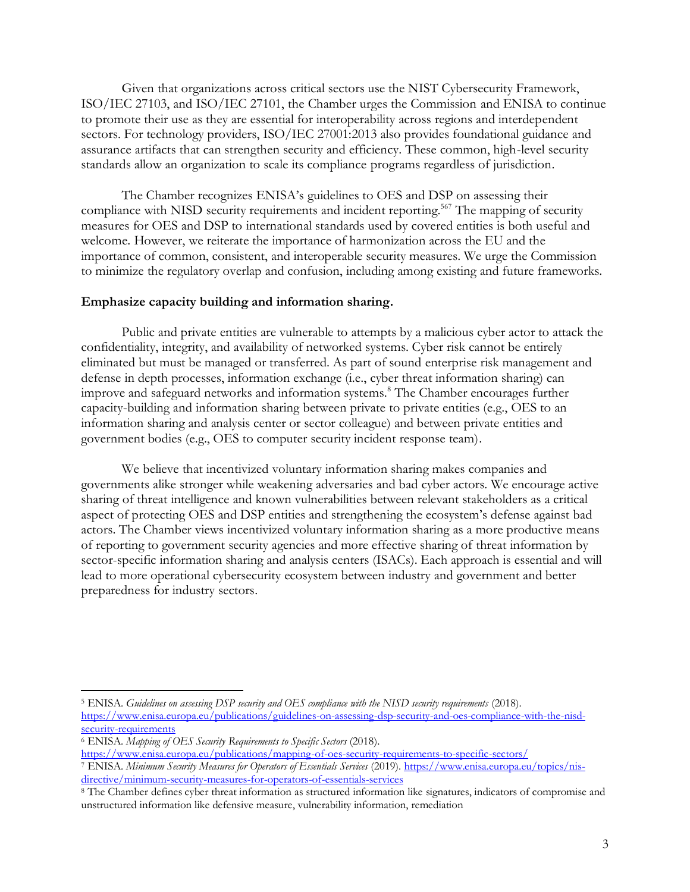Given that organizations across critical sectors use the NIST Cybersecurity Framework, ISO/IEC 27103, and ISO/IEC 27101, the Chamber urges the Commission and ENISA to continue to promote their use as they are essential for interoperability across regions and interdependent sectors. For technology providers, ISO/IEC 27001:2013 also provides foundational guidance and assurance artifacts that can strengthen security and efficiency. These common, high-level security standards allow an organization to scale its compliance programs regardless of jurisdiction.

The Chamber recognizes ENISA's guidelines to OES and DSP on assessing their compliance with NISD security requirements and incident reporting.<sup>567</sup> The mapping of security measures for OES and DSP to international standards used by covered entities is both useful and welcome. However, we reiterate the importance of harmonization across the EU and the importance of common, consistent, and interoperable security measures. We urge the Commission to minimize the regulatory overlap and confusion, including among existing and future frameworks.

#### **Emphasize capacity building and information sharing.**

Public and private entities are vulnerable to attempts by a malicious cyber actor to attack the confidentiality, integrity, and availability of networked systems. Cyber risk cannot be entirely eliminated but must be managed or transferred. As part of sound enterprise risk management and defense in depth processes, information exchange (i.e., cyber threat information sharing) can improve and safeguard networks and information systems.<sup>8</sup> The Chamber encourages further capacity-building and information sharing between private to private entities (e.g., OES to an information sharing and analysis center or sector colleague) and between private entities and government bodies (e.g., OES to computer security incident response team).

We believe that incentivized voluntary information sharing makes companies and governments alike stronger while weakening adversaries and bad cyber actors. We encourage active sharing of threat intelligence and known vulnerabilities between relevant stakeholders as a critical aspect of protecting OES and DSP entities and strengthening the ecosystem's defense against bad actors. The Chamber views incentivized voluntary information sharing as a more productive means of reporting to government security agencies and more effective sharing of threat information by sector-specific information sharing and analysis centers (ISACs). Each approach is essential and will lead to more operational cybersecurity ecosystem between industry and government and better preparedness for industry sectors.

<sup>5</sup> ENISA. *Guidelines on assessing DSP security and OES compliance with the NISD security requirements* (2018). [https://www.enisa.europa.eu/publications/guidelines-on-assessing-dsp-security-and-oes-compliance-with-the-nisd](https://www.enisa.europa.eu/publications/guidelines-on-assessing-dsp-security-and-oes-compliance-with-the-nisd-security-requirements)[security-requirements](https://www.enisa.europa.eu/publications/guidelines-on-assessing-dsp-security-and-oes-compliance-with-the-nisd-security-requirements)

<sup>6</sup> ENISA. *Mapping of OES Security Requirements to Specific Sectors* (2018).

<https://www.enisa.europa.eu/publications/mapping-of-oes-security-requirements-to-specific-sectors/>

<sup>7</sup> ENISA. *Minimum Security Measures for Operators of Essentials Services* (2019)[. https://www.enisa.europa.eu/topics/nis](https://www.enisa.europa.eu/topics/nis-directive/minimum-security-measures-for-operators-of-essentials-services)[directive/minimum-security-measures-for-operators-of-essentials-services](https://www.enisa.europa.eu/topics/nis-directive/minimum-security-measures-for-operators-of-essentials-services)

<sup>8</sup> The Chamber defines cyber threat information as structured information like signatures, indicators of compromise and unstructured information like defensive measure, vulnerability information, remediation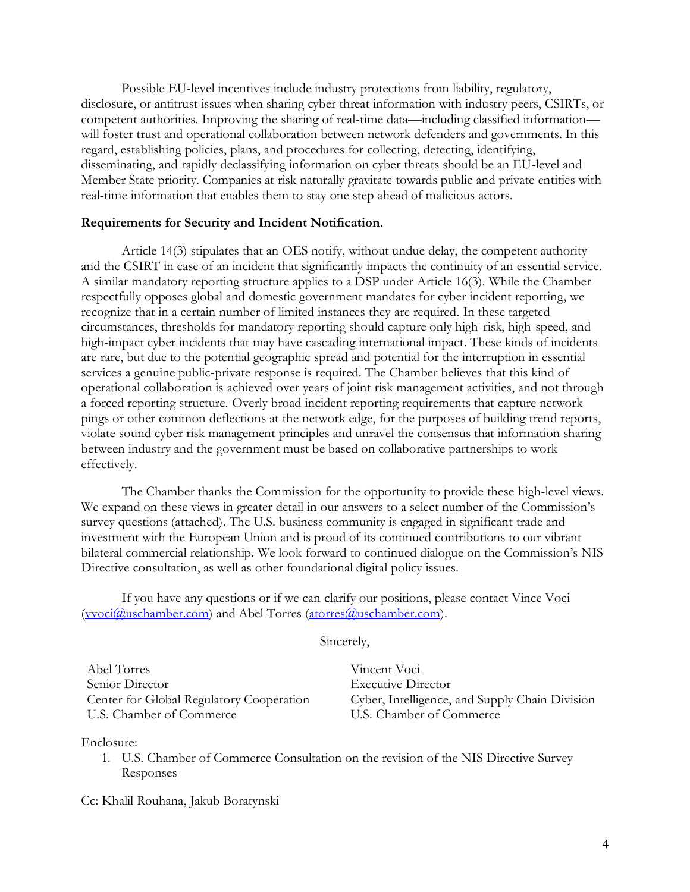Possible EU-level incentives include industry protections from liability, regulatory, disclosure, or antitrust issues when sharing cyber threat information with industry peers, CSIRTs, or competent authorities. Improving the sharing of real-time data—including classified information will foster trust and operational collaboration between network defenders and governments. In this regard, establishing policies, plans, and procedures for collecting, detecting, identifying, disseminating, and rapidly declassifying information on cyber threats should be an EU-level and Member State priority. Companies at risk naturally gravitate towards public and private entities with real-time information that enables them to stay one step ahead of malicious actors.

#### **Requirements for Security and Incident Notification.**

Article 14(3) stipulates that an OES notify, without undue delay, the competent authority and the CSIRT in case of an incident that significantly impacts the continuity of an essential service. A similar mandatory reporting structure applies to a DSP under Article 16(3). While the Chamber respectfully opposes global and domestic government mandates for cyber incident reporting, we recognize that in a certain number of limited instances they are required. In these targeted circumstances, thresholds for mandatory reporting should capture only high-risk, high-speed, and high-impact cyber incidents that may have cascading international impact. These kinds of incidents are rare, but due to the potential geographic spread and potential for the interruption in essential services a genuine public-private response is required. The Chamber believes that this kind of operational collaboration is achieved over years of joint risk management activities, and not through a forced reporting structure. Overly broad incident reporting requirements that capture network pings or other common deflections at the network edge, for the purposes of building trend reports, violate sound cyber risk management principles and unravel the consensus that information sharing between industry and the government must be based on collaborative partnerships to work effectively.

The Chamber thanks the Commission for the opportunity to provide these high-level views. We expand on these views in greater detail in our answers to a select number of the Commission's survey questions (attached). The U.S. business community is engaged in significant trade and investment with the European Union and is proud of its continued contributions to our vibrant bilateral commercial relationship. We look forward to continued dialogue on the Commission's NIS Directive consultation, as well as other foundational digital policy issues.

If you have any questions or if we can clarify our positions, please contact Vince Voci [\(vvoci@uschamber.com\)](mailto:vvoci@uschamber.com) and Abel Torres [\(atorres@uschamber.com\)](mailto:atorres@uschamber.com).

Sincerely,

| Abel Torres                              |
|------------------------------------------|
| Senior Director                          |
| Center for Global Regulatory Cooperation |
| U.S. Chamber of Commerce                 |

Vincent Voci Executive Director Cyber, Intelligence, and Supply Chain Division U.S. Chamber of Commerce

Enclosure:

1. U.S. Chamber of Commerce Consultation on the revision of the NIS Directive Survey Responses

Cc: Khalil Rouhana, Jakub Boratynski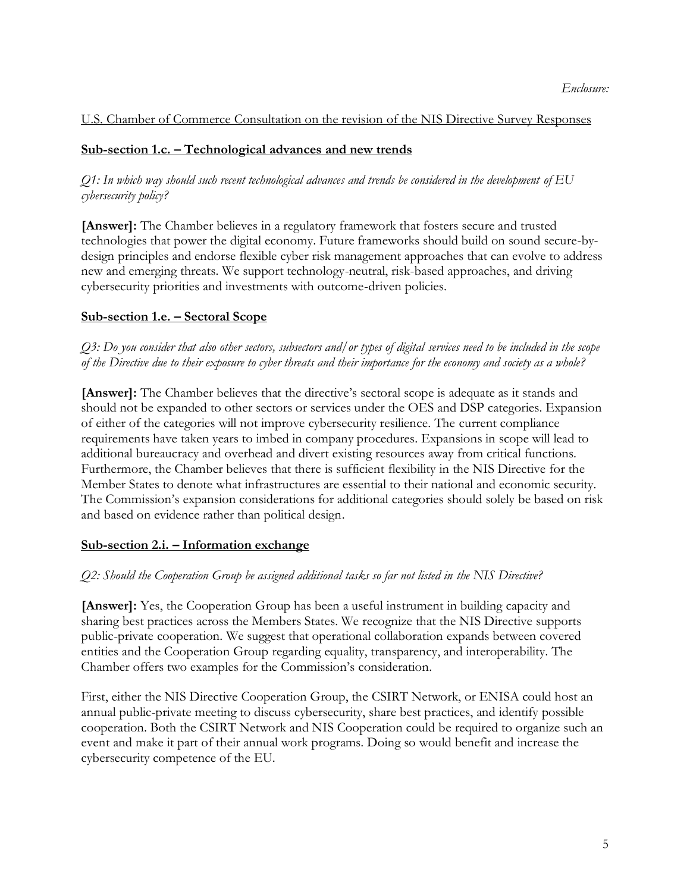## U.S. Chamber of Commerce Consultation on the revision of the NIS Directive Survey Responses

## **Sub-section 1.c. – Technological advances and new trends**

# *Q1: In which way should such recent technological advances and trends be considered in the development of EU cybersecurity policy?*

**[Answer]:** The Chamber believes in a regulatory framework that fosters secure and trusted technologies that power the digital economy. Future frameworks should build on sound secure-bydesign principles and endorse flexible cyber risk management approaches that can evolve to address new and emerging threats. We support technology-neutral, risk-based approaches, and driving cybersecurity priorities and investments with outcome-driven policies.

## **Sub-section 1.e. – Sectoral Scope**

# *Q3: Do you consider that also other sectors, subsectors and/or types of digital services need to be included in the scope of the Directive due to their exposure to cyber threats and their importance for the economy and society as a whole?*

**[Answer]:** The Chamber believes that the directive's sectoral scope is adequate as it stands and should not be expanded to other sectors or services under the OES and DSP categories. Expansion of either of the categories will not improve cybersecurity resilience. The current compliance requirements have taken years to imbed in company procedures. Expansions in scope will lead to additional bureaucracy and overhead and divert existing resources away from critical functions. Furthermore, the Chamber believes that there is sufficient flexibility in the NIS Directive for the Member States to denote what infrastructures are essential to their national and economic security. The Commission's expansion considerations for additional categories should solely be based on risk and based on evidence rather than political design.

## **Sub-section 2.i. – Information exchange**

# *Q2: Should the Cooperation Group be assigned additional tasks so far not listed in the NIS Directive?*

**[Answer]:** Yes, the Cooperation Group has been a useful instrument in building capacity and sharing best practices across the Members States. We recognize that the NIS Directive supports public-private cooperation. We suggest that operational collaboration expands between covered entities and the Cooperation Group regarding equality, transparency, and interoperability. The Chamber offers two examples for the Commission's consideration.

First, either the NIS Directive Cooperation Group, the CSIRT Network, or ENISA could host an annual public-private meeting to discuss cybersecurity, share best practices, and identify possible cooperation. Both the CSIRT Network and NIS Cooperation could be required to organize such an event and make it part of their annual work programs. Doing so would benefit and increase the cybersecurity competence of the EU.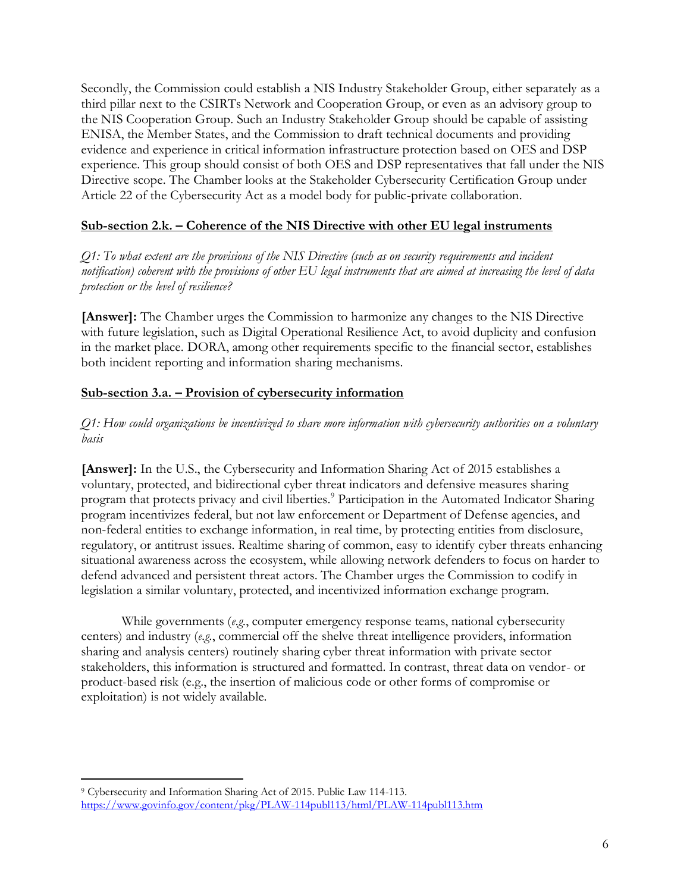Secondly, the Commission could establish a NIS Industry Stakeholder Group, either separately as a third pillar next to the CSIRTs Network and Cooperation Group, or even as an advisory group to the NIS Cooperation Group. Such an Industry Stakeholder Group should be capable of assisting ENISA, the Member States, and the Commission to draft technical documents and providing evidence and experience in critical information infrastructure protection based on OES and DSP experience. This group should consist of both OES and DSP representatives that fall under the NIS Directive scope. The Chamber looks at the Stakeholder Cybersecurity Certification Group under Article 22 of the Cybersecurity Act as a model body for public-private collaboration.

## **Sub-section 2.k. – Coherence of the NIS Directive with other EU legal instruments**

*Q1: To what extent are the provisions of the NIS Directive (such as on security requirements and incident notification) coherent with the provisions of other EU legal instruments that are aimed at increasing the level of data protection or the level of resilience?*

**[Answer]:** The Chamber urges the Commission to harmonize any changes to the NIS Directive with future legislation, such as Digital Operational Resilience Act, to avoid duplicity and confusion in the market place. DORA, among other requirements specific to the financial sector, establishes both incident reporting and information sharing mechanisms.

# **Sub-section 3.a. – Provision of cybersecurity information**

## *Q1: How could organizations be incentivized to share more information with cybersecurity authorities on a voluntary basis*

**[Answer]:** In the U.S., the Cybersecurity and Information Sharing Act of 2015 establishes a voluntary, protected, and bidirectional cyber threat indicators and defensive measures sharing program that protects privacy and civil liberties.<sup>9</sup> Participation in the Automated Indicator Sharing program incentivizes federal, but not law enforcement or Department of Defense agencies, and non-federal entities to exchange information, in real time, by protecting entities from disclosure, regulatory, or antitrust issues. Realtime sharing of common, easy to identify cyber threats enhancing situational awareness across the ecosystem, while allowing network defenders to focus on harder to defend advanced and persistent threat actors. The Chamber urges the Commission to codify in legislation a similar voluntary, protected, and incentivized information exchange program.

While governments (*e.g.*, computer emergency response teams, national cybersecurity centers) and industry (*e.g.*, commercial off the shelve threat intelligence providers, information sharing and analysis centers) routinely sharing cyber threat information with private sector stakeholders, this information is structured and formatted. In contrast, threat data on vendor- or product-based risk (e.g., the insertion of malicious code or other forms of compromise or exploitation) is not widely available.

<sup>9</sup> Cybersecurity and Information Sharing Act of 2015. Public Law 114-113. <https://www.govinfo.gov/content/pkg/PLAW-114publ113/html/PLAW-114publ113.htm>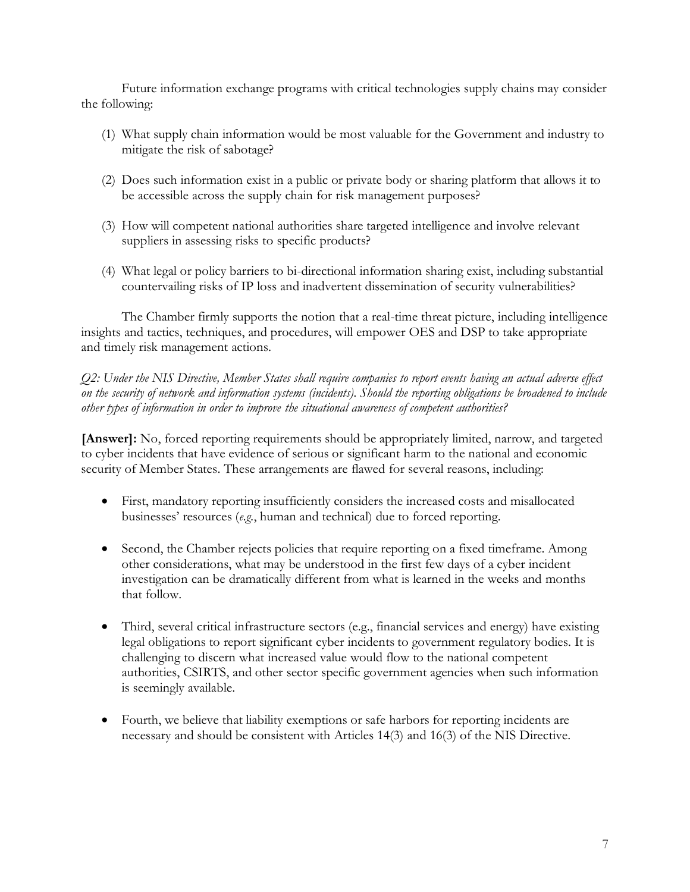Future information exchange programs with critical technologies supply chains may consider the following:

- (1) What supply chain information would be most valuable for the Government and industry to mitigate the risk of sabotage?
- (2) Does such information exist in a public or private body or sharing platform that allows it to be accessible across the supply chain for risk management purposes?
- (3) How will competent national authorities share targeted intelligence and involve relevant suppliers in assessing risks to specific products?
- (4) What legal or policy barriers to bi-directional information sharing exist, including substantial countervailing risks of IP loss and inadvertent dissemination of security vulnerabilities?

The Chamber firmly supports the notion that a real-time threat picture, including intelligence insights and tactics, techniques, and procedures, will empower OES and DSP to take appropriate and timely risk management actions.

*Q2: Under the NIS Directive, Member States shall require companies to report events having an actual adverse effect on the security of network and information systems (incidents). Should the reporting obligations be broadened to include other types of information in order to improve the situational awareness of competent authorities?*

**[Answer]:** No, forced reporting requirements should be appropriately limited, narrow, and targeted to cyber incidents that have evidence of serious or significant harm to the national and economic security of Member States. These arrangements are flawed for several reasons, including:

- First, mandatory reporting insufficiently considers the increased costs and misallocated businesses' resources (*e.g.*, human and technical) due to forced reporting.
- Second, the Chamber rejects policies that require reporting on a fixed timeframe. Among other considerations, what may be understood in the first few days of a cyber incident investigation can be dramatically different from what is learned in the weeks and months that follow.
- Third, several critical infrastructure sectors (e.g., financial services and energy) have existing legal obligations to report significant cyber incidents to government regulatory bodies. It is challenging to discern what increased value would flow to the national competent authorities, CSIRTS, and other sector specific government agencies when such information is seemingly available.
- Fourth, we believe that liability exemptions or safe harbors for reporting incidents are necessary and should be consistent with Articles 14(3) and 16(3) of the NIS Directive.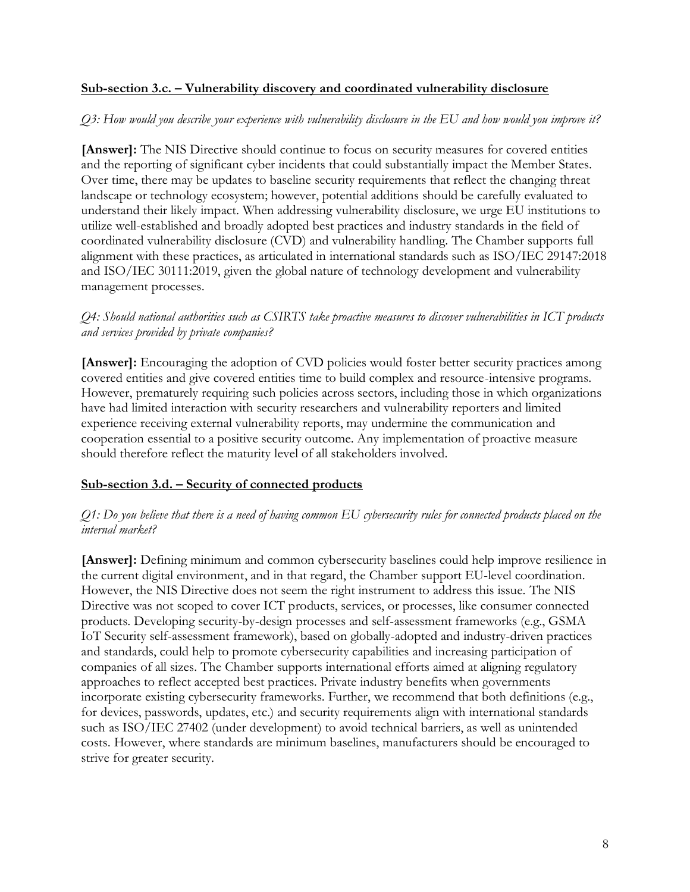#### **Sub-section 3.c. – Vulnerability discovery and coordinated vulnerability disclosure**

#### *Q3: How would you describe your experience with vulnerability disclosure in the EU and how would you improve it?*

**[Answer]:** The NIS Directive should continue to focus on security measures for covered entities and the reporting of significant cyber incidents that could substantially impact the Member States. Over time, there may be updates to baseline security requirements that reflect the changing threat landscape or technology ecosystem; however, potential additions should be carefully evaluated to understand their likely impact. When addressing vulnerability disclosure, we urge EU institutions to utilize well-established and broadly adopted best practices and industry standards in the field of coordinated vulnerability disclosure (CVD) and vulnerability handling. The Chamber supports full alignment with these practices, as articulated in international standards such as ISO/IEC 29147:2018 and ISO/IEC 30111:2019, given the global nature of technology development and vulnerability management processes.

## *Q4: Should national authorities such as CSIRTS take proactive measures to discover vulnerabilities in ICT products and services provided by private companies?*

**[Answer]:** Encouraging the adoption of CVD policies would foster better security practices among covered entities and give covered entities time to build complex and resource-intensive programs. However, prematurely requiring such policies across sectors, including those in which organizations have had limited interaction with security researchers and vulnerability reporters and limited experience receiving external vulnerability reports, may undermine the communication and cooperation essential to a positive security outcome. Any implementation of proactive measure should therefore reflect the maturity level of all stakeholders involved.

## **Sub-section 3.d. – Security of connected products**

## *Q1: Do you believe that there is a need of having common EU cybersecurity rules for connected products placed on the internal market?*

**[Answer]:** Defining minimum and common cybersecurity baselines could help improve resilience in the current digital environment, and in that regard, the Chamber support EU-level coordination. However, the NIS Directive does not seem the right instrument to address this issue. The NIS Directive was not scoped to cover ICT products, services, or processes, like consumer connected products. Developing security-by-design processes and self-assessment frameworks (e.g., GSMA IoT Security self-assessment framework), based on globally-adopted and industry-driven practices and standards, could help to promote cybersecurity capabilities and increasing participation of companies of all sizes. The Chamber supports international efforts aimed at aligning regulatory approaches to reflect accepted best practices. Private industry benefits when governments incorporate existing cybersecurity frameworks. Further, we recommend that both definitions (e.g., for devices, passwords, updates, etc.) and security requirements align with international standards such as ISO/IEC 27402 (under development) to avoid technical barriers, as well as unintended costs. However, where standards are minimum baselines, manufacturers should be encouraged to strive for greater security.